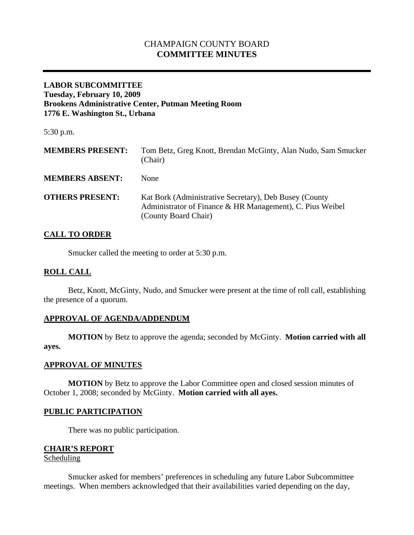# CHAMPAIGN COUNTY BOARD **COMMITTEE MINUTES**

### **LABOR SUBCOMMITTEE Tuesday, February 10, 2009 Brookens Administrative Center, Putman Meeting Room 1776 E. Washington St., Urbana**

5:30 p.m.

| <b>MEMBERS PRESENT:</b> | Tom Betz, Greg Knott, Brendan McGinty, Alan Nudo, Sam Smucker<br>(Chair)                                                                    |
|-------------------------|---------------------------------------------------------------------------------------------------------------------------------------------|
| <b>MEMBERS ABSENT:</b>  | None                                                                                                                                        |
| <b>OTHERS PRESENT:</b>  | Kat Bork (Administrative Secretary), Deb Busey (County<br>Administrator of Finance & HR Management), C. Pius Weibel<br>(County Board Chair) |

# **CALL TO ORDER**

Smucker called the meeting to order at 5:30 p.m.

## **ROLL CALL**

 Betz, Knott, McGinty, Nudo, and Smucker were present at the time of roll call, establishing the presence of a quorum.

## **APPROVAL OF AGENDA/ADDENDUM**

 **MOTION** by Betz to approve the agenda; seconded by McGinty. **Motion carried with all ayes.** 

#### **APPROVAL OF MINUTES**

 **MOTION** by Betz to approve the Labor Committee open and closed session minutes of October 1, 2008; seconded by McGinty. **Motion carried with all ayes.** 

#### **PUBLIC PARTICIPATION**

There was no public participation.

## **CHAIR'S REPORT**

### Scheduling

Smucker asked for members' preferences in scheduling any future Labor Subcommittee meetings. When members acknowledged that their availabilities varied depending on the day,